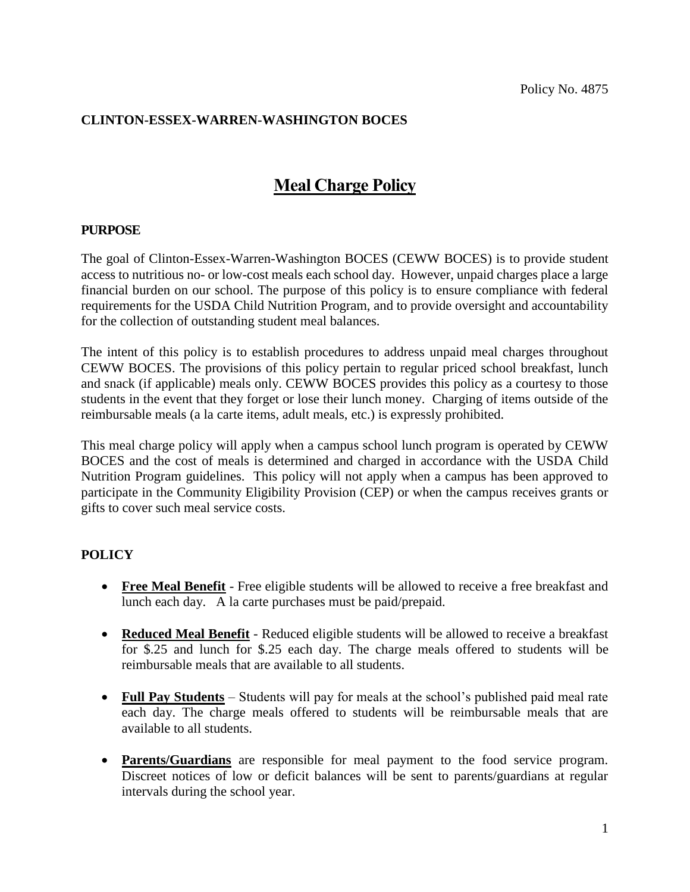## **CLINTON-ESSEX-WARREN-WASHINGTON BOCES**

## **Meal Charge Policy**

## **PURPOSE**

The goal of Clinton-Essex-Warren-Washington BOCES (CEWW BOCES) is to provide student access to nutritious no- or low-cost meals each school day. However, unpaid charges place a large financial burden on our school. The purpose of this policy is to ensure compliance with federal requirements for the USDA Child Nutrition Program, and to provide oversight and accountability for the collection of outstanding student meal balances.

The intent of this policy is to establish procedures to address unpaid meal charges throughout CEWW BOCES. The provisions of this policy pertain to regular priced school breakfast, lunch and snack (if applicable) meals only. CEWW BOCES provides this policy as a courtesy to those students in the event that they forget or lose their lunch money. Charging of items outside of the reimbursable meals (a la carte items, adult meals, etc.) is expressly prohibited.

This meal charge policy will apply when a campus school lunch program is operated by CEWW BOCES and the cost of meals is determined and charged in accordance with the USDA Child Nutrition Program guidelines. This policy will not apply when a campus has been approved to participate in the Community Eligibility Provision (CEP) or when the campus receives grants or gifts to cover such meal service costs.

## **POLICY**

- **Free Meal Benefit** Free eligible students will be allowed to receive a free breakfast and lunch each day. A la carte purchases must be paid/prepaid.
- **Reduced Meal Benefit** Reduced eligible students will be allowed to receive a breakfast for \$.25 and lunch for \$.25 each day. The charge meals offered to students will be reimbursable meals that are available to all students.
- **Full Pay Students** Students will pay for meals at the school's published paid meal rate each day. The charge meals offered to students will be reimbursable meals that are available to all students.
- **Parents/Guardians** are responsible for meal payment to the food service program. Discreet notices of low or deficit balances will be sent to parents/guardians at regular intervals during the school year.